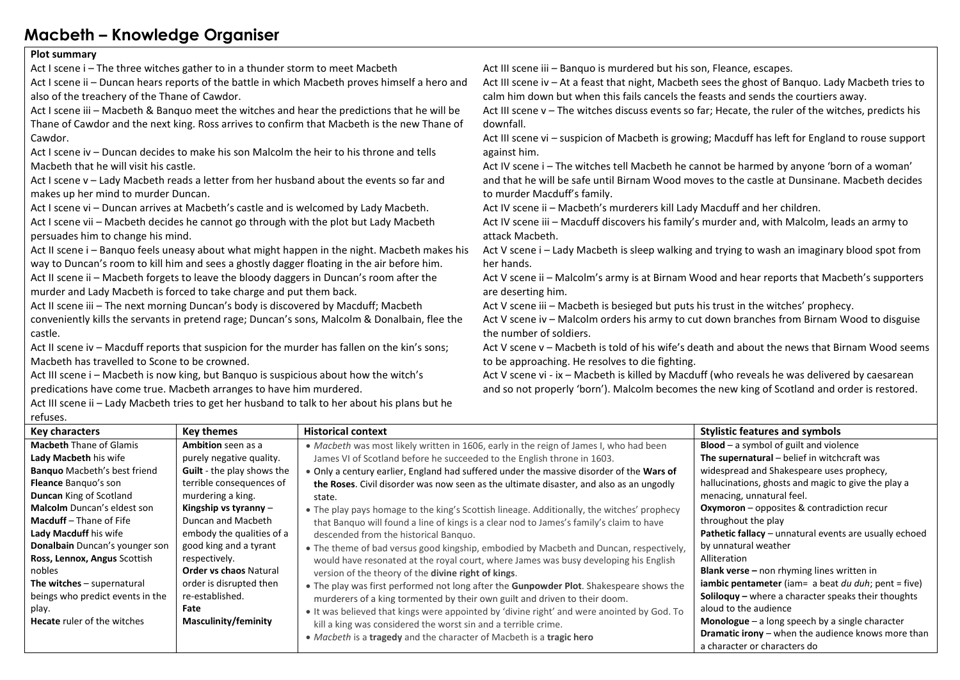## **Macbeth – Knowledge Organiser**

## **Plot summary**

Act I scene i – The three witches gather to in a thunder storm to meet Macbeth

Act I scene ii – Duncan hears reports of the battle in which Macbeth proves himself a hero and also of the treachery of the Thane of Cawdor.

Act I scene iii – Macbeth & Banquo meet the witches and hear the predictions that he will be Thane of Cawdor and the next king. Ross arrives to confirm that Macbeth is the new Thane of Cawdor.

Act I scene iv – Duncan decides to make his son Malcolm the heir to his throne and tells Macbeth that he will visit his castle.

Act I scene v – Lady Macbeth reads a letter from her husband about the events so far and makes up her mind to murder Duncan.

Act I scene vi – Duncan arrives at Macbeth's castle and is welcomed by Lady Macbeth.

Act I scene vii – Macbeth decides he cannot go through with the plot but Lady Macbeth persuades him to change his mind.

Act II scene i – Banquo feels uneasy about what might happen in the night. Macbeth makes his way to Duncan's room to kill him and sees a ghostly dagger floating in the air before him. Act II scene ii – Macbeth forgets to leave the bloody daggers in Duncan's room after the murder and Lady Macbeth is forced to take charge and put them back.

Act II scene iii – The next morning Duncan's body is discovered by Macduff; Macbeth conveniently kills the servants in pretend rage; Duncan's sons, Malcolm & Donalbain, flee the castle.

Act II scene iv – Macduff reports that suspicion for the murder has fallen on the kin's sons; Macbeth has travelled to Scone to be crowned.

Act III scene i – Macbeth is now king, but Banquo is suspicious about how the witch's predications have come true. Macbeth arranges to have him murdered.

Act III scene ii – Lady Macbeth tries to get her husband to talk to her about his plans but he refuses.

Act III scene iii – Banquo is murdered but his son, Fleance, escapes.

Act III scene iv – At a feast that night, Macbeth sees the ghost of Banquo. Lady Macbeth tries to calm him down but when this fails cancels the feasts and sends the courtiers away.

Act III scene v – The witches discuss events so far; Hecate, the ruler of the witches, predicts his downfall.

Act III scene vi – suspicion of Macbeth is growing; Macduff has left for England to rouse support against him.

Act IV scene i – The witches tell Macbeth he cannot be harmed by anyone 'born of a woman' and that he will be safe until Birnam Wood moves to the castle at Dunsinane. Macbeth decides to murder Macduff's family.

Act IV scene ii – Macbeth's murderers kill Lady Macduff and her children.

Act IV scene iii – Macduff discovers his family's murder and, with Malcolm, leads an army to attack Macbeth.

Act V scene i – Lady Macbeth is sleep walking and trying to wash an imaginary blood spot from her hands.

Act V scene ii – Malcolm's army is at Birnam Wood and hear reports that Macbeth's supporters are deserting him.

Act V scene iii – Macbeth is besieged but puts his trust in the witches' prophecy.

Act V scene iv – Malcolm orders his army to cut down branches from Birnam Wood to disguise the number of soldiers.

Act V scene v – Macbeth is told of his wife's death and about the news that Birnam Wood seems to be approaching. He resolves to die fighting.

Act V scene vi - ix – Macbeth is killed by Macduff (who reveals he was delivered by caesarean and so not properly 'born'). Malcolm becomes the new king of Scotland and order is restored.

| <b>Key characters</b>               | <b>Key themes</b>                 | <b>Historical context</b>                                                                  | <b>Stylistic features and symbols</b>                           |
|-------------------------------------|-----------------------------------|--------------------------------------------------------------------------------------------|-----------------------------------------------------------------|
| <b>Macbeth Thane of Glamis</b>      | <b>Ambition</b> seen as a         | · Macbeth was most likely written in 1606, early in the reign of James I, who had been     | <b>Blood</b> $-$ a symbol of guilt and violence                 |
| Lady Macbeth his wife               | purely negative quality.          | James VI of Scotland before he succeeded to the English throne in 1603.                    | The supernatural $-$ belief in witchcraft was                   |
| <b>Banquo</b> Macbeth's best friend | <b>Guilt</b> - the play shows the | . Only a century earlier, England had suffered under the massive disorder of the Wars of   | widespread and Shakespeare uses prophecy,                       |
| Fleance Banquo's son                | terrible consequences of          | the Roses. Civil disorder was now seen as the ultimate disaster, and also as an ungodly    | hallucinations, ghosts and magic to give the play a             |
| <b>Duncan</b> King of Scotland      | murdering a king.                 | state.                                                                                     | menacing, unnatural feel.                                       |
| <b>Malcolm</b> Duncan's eldest son  | Kingship vs tyranny $-$           | • The play pays homage to the king's Scottish lineage. Additionally, the witches' prophecy | <b>Oxymoron</b> – opposites & contradiction recur               |
| <b>Macduff</b> – Thane of Fife      | Duncan and Macbeth                | that Banquo will found a line of kings is a clear nod to James's family's claim to have    | throughout the play                                             |
| Lady Macduff his wife               | embody the qualities of a         | descended from the historical Banquo.                                                      | Pathetic fallacy - unnatural events are usually echoed          |
| Donalbain Duncan's younger son      | good king and a tyrant            | . The theme of bad versus good kingship, embodied by Macbeth and Duncan, respectively,     | by unnatural weather                                            |
| Ross, Lennox, Angus Scottish        | respectively.                     | would have resonated at the royal court, where James was busy developing his English       | Alliteration                                                    |
| nobles                              | <b>Order vs chaos Natural</b>     | version of the theory of the divine right of kings.                                        | <b>Blank verse</b> – non rhyming lines written in               |
| The witches $-$ supernatural        | order is disrupted then           | • The play was first performed not long after the Gunpowder Plot. Shakespeare shows the    | <b>iambic pentameter</b> (iam= a beat $du$ $du$ ); pent = five) |
| beings who predict events in the    | re-established.                   | murderers of a king tormented by their own guilt and driven to their doom.                 | Soliloquy - where a character speaks their thoughts             |
| play.                               | Fate                              | . It was believed that kings were appointed by 'divine right' and were anointed by God. To | aloud to the audience                                           |
| <b>Hecate</b> ruler of the witches  | <b>Masculinity/feminity</b>       | kill a king was considered the worst sin and a terrible crime.                             | <b>Monologue</b> $-$ a long speech by a single character        |
|                                     |                                   | • Macbeth is a tragedy and the character of Macbeth is a tragic hero                       | <b>Dramatic irony</b> – when the audience knows more than       |
|                                     |                                   |                                                                                            | a character or characters do                                    |